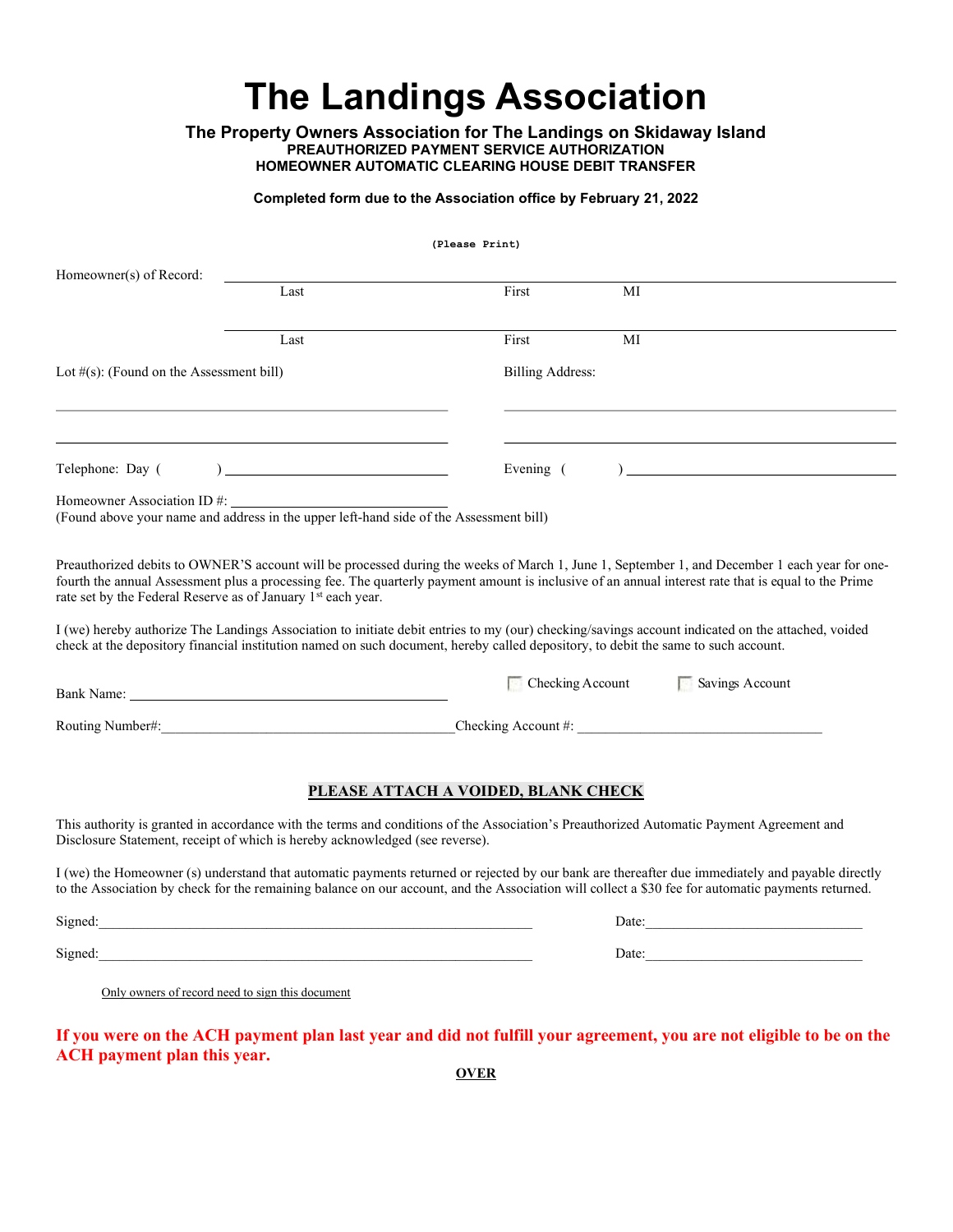# The Landings Association

The Property Owners Association for The Landings on Skidaway Island PREAUTHORIZED PAYMENT SERVICE AUTHORIZATION HOMEOWNER AUTOMATIC CLEARING HOUSE DEBIT TRANSFER

## Completed form due to the Association office by February 21, 2022

(Please Print)

| Homeowner(s) of Record:                                      |                                                                                        |                                     |                                                                                                                                                                                                                                                                                                        |
|--------------------------------------------------------------|----------------------------------------------------------------------------------------|-------------------------------------|--------------------------------------------------------------------------------------------------------------------------------------------------------------------------------------------------------------------------------------------------------------------------------------------------------|
|                                                              | Last                                                                                   | First                               | МI                                                                                                                                                                                                                                                                                                     |
|                                                              | Last                                                                                   | First                               | МI                                                                                                                                                                                                                                                                                                     |
| Lot $#(s)$ : (Found on the Assessment bill)                  |                                                                                        | <b>Billing Address:</b>             |                                                                                                                                                                                                                                                                                                        |
|                                                              |                                                                                        |                                     |                                                                                                                                                                                                                                                                                                        |
| Telephone: Day (                                             |                                                                                        | Evening (                           |                                                                                                                                                                                                                                                                                                        |
| Homeowner Association ID #:                                  | (Found above your name and address in the upper left-hand side of the Assessment bill) |                                     |                                                                                                                                                                                                                                                                                                        |
| rate set by the Federal Reserve as of January 1st each year. |                                                                                        |                                     | Preauthorized debits to OWNER'S account will be processed during the weeks of March 1, June 1, September 1, and December 1 each year for one-<br>fourth the annual Assessment plus a processing fee. The quarterly payment amount is inclusive of an annual interest rate that is equal to the Prime   |
|                                                              |                                                                                        |                                     | I (we) hereby authorize The Landings Association to initiate debit entries to my (our) checking/savings account indicated on the attached, voided<br>check at the depository financial institution named on such document, hereby called depository, to debit the same to such account.                |
|                                                              |                                                                                        | $\Box$ Checking Account             | Savings Account                                                                                                                                                                                                                                                                                        |
|                                                              | Routing Number#:                                                                       |                                     | Checking Account #:                                                                                                                                                                                                                                                                                    |
|                                                              |                                                                                        | PLEASE ATTACH A VOIDED, BLANK CHECK |                                                                                                                                                                                                                                                                                                        |
|                                                              | Disclosure Statement, receipt of which is hereby acknowledged (see reverse).           |                                     | This authority is granted in accordance with the terms and conditions of the Association's Preauthorized Automatic Payment Agreement and                                                                                                                                                               |
|                                                              |                                                                                        |                                     | I (we) the Homeowner (s) understand that automatic payments returned or rejected by our bank are thereafter due immediately and payable directly<br>to the Association by check for the remaining balance on our account, and the Association will collect a \$30 fee for automatic payments returned. |
|                                                              |                                                                                        |                                     |                                                                                                                                                                                                                                                                                                        |
|                                                              | Signed: Signed:                                                                        |                                     | Date:                                                                                                                                                                                                                                                                                                  |
| Only owners of record need to sign this document             |                                                                                        |                                     |                                                                                                                                                                                                                                                                                                        |
|                                                              |                                                                                        |                                     | If you were on the ACH payment plan last year and did not fulfill your agreement, you are not eligible to be on the                                                                                                                                                                                    |

**OVER** 

ACH payment plan this year.